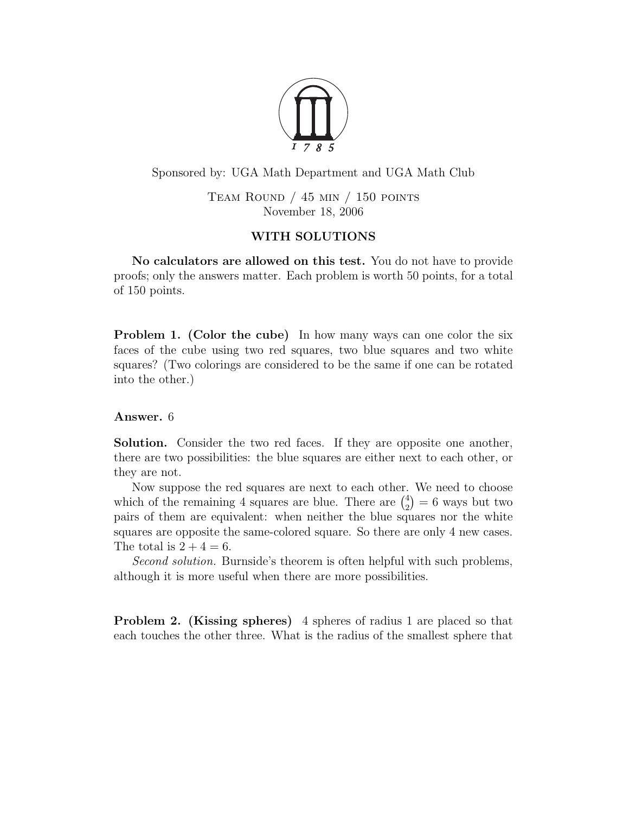

Sponsored by: UGA Math Department and UGA Math Club

TEAM ROUND  $/$  45 min  $/$  150 points November 18, 2006

## WITH SOLUTIONS

No calculators are allowed on this test. You do not have to provide proofs; only the answers matter. Each problem is worth 50 points, for a total of 150 points.

Problem 1. (Color the cube) In how many ways can one color the six faces of the cube using two red squares, two blue squares and two white squares? (Two colorings are considered to be the same if one can be rotated into the other.)

## Answer. 6

Solution. Consider the two red faces. If they are opposite one another, there are two possibilities: the blue squares are either next to each other, or they are not.

Now suppose the red squares are next to each other. We need to choose which of the remaining 4 squares are blue. There are  $\binom{4}{2}$  $\binom{4}{2}$  = 6 ways but two pairs of them are equivalent: when neither the blue squares nor the white squares are opposite the same-colored square. So there are only 4 new cases. The total is  $2 + 4 = 6$ .

Second solution. Burnside's theorem is often helpful with such problems, although it is more useful when there are more possibilities.

Problem 2. (Kissing spheres) 4 spheres of radius 1 are placed so that each touches the other three. What is the radius of the smallest sphere that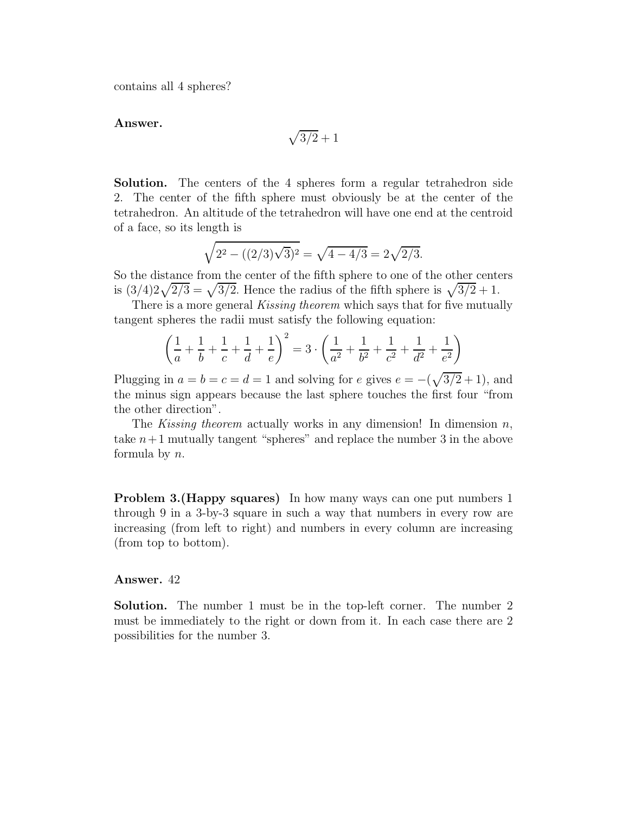contains all 4 spheres?

Answer.

$$
\sqrt{3/2}+1
$$

Solution. The centers of the 4 spheres form a regular tetrahedron side 2. The center of the fifth sphere must obviously be at the center of the tetrahedron. An altitude of the tetrahedron will have one end at the centroid of a face, so its length is

$$
\sqrt{2^2 - ((2/3)\sqrt{3})^2} = \sqrt{4 - 4/3} = 2\sqrt{2/3}.
$$

So the distance from the center of the fifth sphere to one of the other centers is  $\left(\frac{3}{4}\right)2\sqrt{2/3} = \sqrt{3/2}$ . Hence the radius of the fifth sphere is  $\sqrt{3/2} + 1$ .

There is a more general *Kissing theorem* which says that for five mutually tangent spheres the radii must satisfy the following equation:

$$
\left(\frac{1}{a} + \frac{1}{b} + \frac{1}{c} + \frac{1}{d} + \frac{1}{e}\right)^2 = 3 \cdot \left(\frac{1}{a^2} + \frac{1}{b^2} + \frac{1}{c^2} + \frac{1}{d^2} + \frac{1}{e^2}\right)
$$

Plugging in  $a = b = c = d = 1$  and solving for e gives  $e = -(\sqrt{3/2} + 1)$ , and the minus sign appears because the last sphere touches the first four "from the other direction".

The Kissing theorem actually works in any dimension! In dimension  $n$ , take  $n+1$  mutually tangent "spheres" and replace the number 3 in the above formula by n.

Problem 3.(Happy squares) In how many ways can one put numbers 1 through 9 in a 3-by-3 square in such a way that numbers in every row are increasing (from left to right) and numbers in every column are increasing (from top to bottom).

## Answer. 42

Solution. The number 1 must be in the top-left corner. The number 2 must be immediately to the right or down from it. In each case there are 2 possibilities for the number 3.